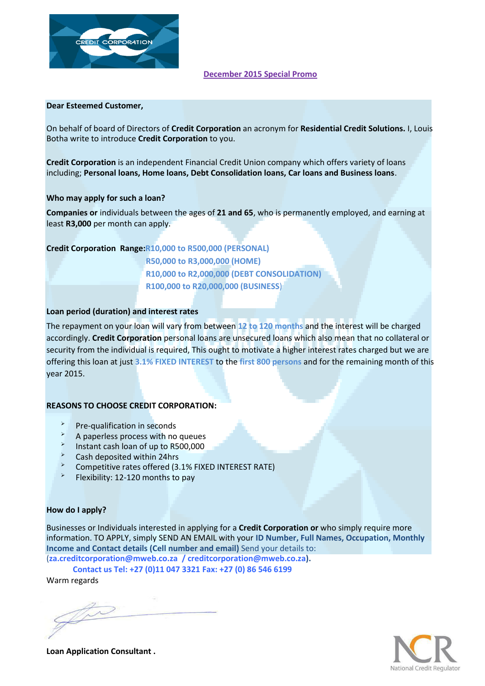

#### **December 2015 Special Promo**

#### **Dear Esteemed Customer,**

On behalf of board of Directors of **Credit Corporation** an acronym for **Residential Credit Solutions.** I, Louis Botha write to introduce **Credit Corporation** to you.

**Credit Corporation** is an independent Financial Credit Union company which offers variety of loans including; **Personal loans, Home loans, Debt Consolidation loans, Car loans and Business loans**.

#### **Who may apply for such a loan?**

**Companies or** individuals between the ages of **21 and 65**, who is permanently employed, and earning at least **R3,000** per month can apply.

# **Credit Corporation Range:R10,000 to R500,000 (PERSONAL)**

**R50,000 to R3,000,000 (HOME) R10,000 to R2,000,000 (DEBT CONSOLIDATION) R100,000 to R20,000,000 (BUSINESS**)

## **Loan period (duration) and interest rates**

The repayment on your loan will vary from between **12 to 120 months** and the interest will be charged accordingly. **Credit Corporation** personal loans are unsecured loans which also mean that no collateral or security from the individual is required, This ought to motivate a higher interest rates charged but we are offering this loan at just **3.1% FIXED INTEREST** to the **first 800 persons** and for the remaining month of this year 2015.

## **REASONS TO CHOOSE CREDIT CORPORATION:**

- $\overrightarrow{P}$  Pre-qualification in seconds
- $\lambda$  A paperless process with no queues
- $\sim$ Instant cash loan of up to R500,000
- Eash deposited within 24hrs
- Competitive rates offered (3.1% FIXED INTEREST RATE)
- $\blacktriangleright$ Flexibility: 12-120 months to pay

## **How do I apply?**

Businesses or Individuals interested in applying for a **Credit Corporation or** who simply require more information. TO APPLY, simply SEND AN EMAIL with your **ID Number, Full Names, Occupation, Monthly Income and Contact details (Cell number and email)** Send your details to:

(**za.creditcorporation@mweb.co.za / creditcorporation@mweb.co.za).**

**Contact us Tel: +27 (0)11 047 3321 Fax: +27 (0) 86 546 6199**

Warm regards



**Loan Application Consultant .**